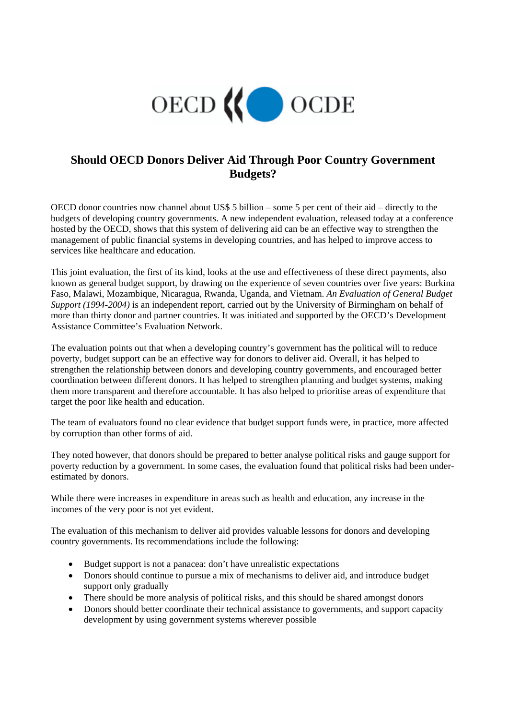

## **Should OECD Donors Deliver Aid Through Poor Country Government Budgets?**

OECD donor countries now channel about US\$ 5 billion – some 5 per cent of their aid – directly to the budgets of developing country governments. A new independent evaluation, released today at a conference hosted by the OECD, shows that this system of delivering aid can be an effective way to strengthen the management of public financial systems in developing countries, and has helped to improve access to services like healthcare and education.

This joint evaluation, the first of its kind, looks at the use and effectiveness of these direct payments, also known as general budget support, by drawing on the experience of seven countries over five years: Burkina Faso, Malawi, Mozambique, Nicaragua, Rwanda, Uganda, and Vietnam. *An Evaluation of General Budget Support (1994-2004)* is an independent report, carried out by the University of Birmingham on behalf of more than thirty donor and partner countries. It was initiated and supported by the OECD's Development Assistance Committee's Evaluation Network.

The evaluation points out that when a developing country's government has the political will to reduce poverty, budget support can be an effective way for donors to deliver aid. Overall, it has helped to strengthen the relationship between donors and developing country governments, and encouraged better coordination between different donors. It has helped to strengthen planning and budget systems, making them more transparent and therefore accountable. It has also helped to prioritise areas of expenditure that target the poor like health and education.

The team of evaluators found no clear evidence that budget support funds were, in practice, more affected by corruption than other forms of aid.

They noted however, that donors should be prepared to better analyse political risks and gauge support for poverty reduction by a government. In some cases, the evaluation found that political risks had been underestimated by donors.

While there were increases in expenditure in areas such as health and education, any increase in the incomes of the very poor is not yet evident.

The evaluation of this mechanism to deliver aid provides valuable lessons for donors and developing country governments. Its recommendations include the following:

- Budget support is not a panacea: don't have unrealistic expectations
- Donors should continue to pursue a mix of mechanisms to deliver aid, and introduce budget support only gradually
- There should be more analysis of political risks, and this should be shared amongst donors
- Donors should better coordinate their technical assistance to governments, and support capacity development by using government systems wherever possible